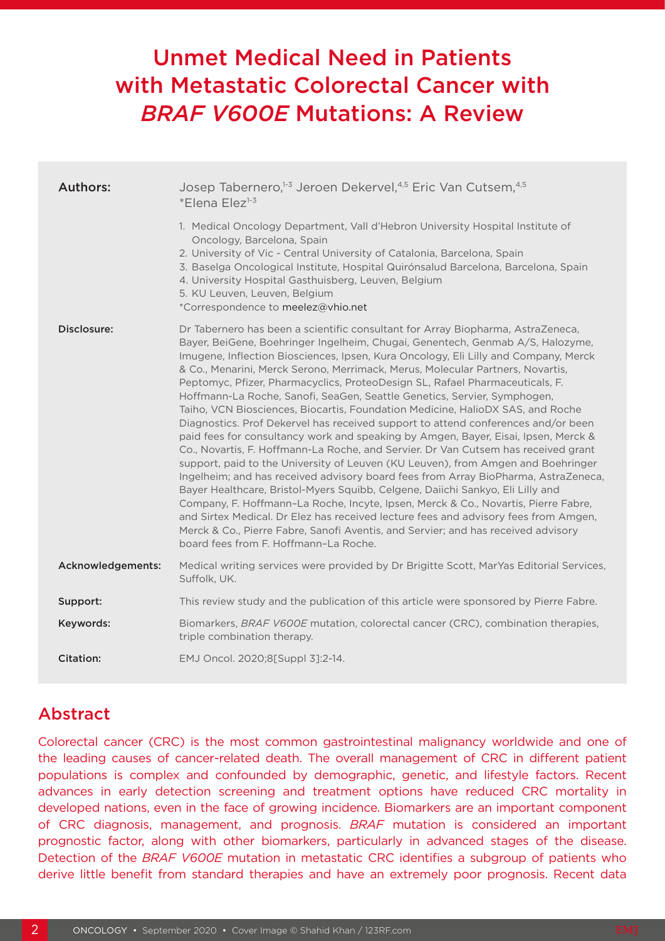# Unmet Medical Need in Patients with Metastatic Colorectal Cancer with *BRAF V600E* Mutations: A Review

| <b>Authors:</b>   | Josep Tabernero, <sup>1-3</sup> Jeroen Dekervel, <sup>4,5</sup> Eric Van Cutsem, <sup>4,5</sup><br>*Elena Elez <sup>1-3</sup>                                                                                                                                                                                                                                                                                                                                                                                                                                                                                                                                                                                                                                                                                                                                                                                                                                                                                                                                                                                                                                                                                                                                                                                                                                                                                                    |  |  |  |  |  |
|-------------------|----------------------------------------------------------------------------------------------------------------------------------------------------------------------------------------------------------------------------------------------------------------------------------------------------------------------------------------------------------------------------------------------------------------------------------------------------------------------------------------------------------------------------------------------------------------------------------------------------------------------------------------------------------------------------------------------------------------------------------------------------------------------------------------------------------------------------------------------------------------------------------------------------------------------------------------------------------------------------------------------------------------------------------------------------------------------------------------------------------------------------------------------------------------------------------------------------------------------------------------------------------------------------------------------------------------------------------------------------------------------------------------------------------------------------------|--|--|--|--|--|
|                   | 1. Medical Oncology Department, Vall d'Hebron University Hospital Institute of<br>Oncology, Barcelona, Spain<br>2. University of Vic - Central University of Catalonia, Barcelona, Spain<br>3. Baselga Oncological Institute, Hospital Quirónsalud Barcelona, Barcelona, Spain<br>4. University Hospital Gasthuisberg, Leuven, Belgium<br>5. KU Leuven, Leuven, Belgium<br>*Correspondence to meelez@vhio.net                                                                                                                                                                                                                                                                                                                                                                                                                                                                                                                                                                                                                                                                                                                                                                                                                                                                                                                                                                                                                    |  |  |  |  |  |
| Disclosure:       | Dr Tabernero has been a scientific consultant for Array Biopharma, AstraZeneca,<br>Bayer, BeiGene, Boehringer Ingelheim, Chugai, Genentech, Genmab A/S, Halozyme,<br>Imugene, Inflection Biosciences, Ipsen, Kura Oncology, Eli Lilly and Company, Merck<br>& Co., Menarini, Merck Serono, Merrimack, Merus, Molecular Partners, Novartis,<br>Peptomyc, Pfizer, Pharmacyclics, ProteoDesign SL, Rafael Pharmaceuticals, F.<br>Hoffmann-La Roche, Sanofi, SeaGen, Seattle Genetics, Servier, Symphogen,<br>Taiho, VCN Biosciences, Biocartis, Foundation Medicine, HalioDX SAS, and Roche<br>Diagnostics. Prof Dekervel has received support to attend conferences and/or been<br>paid fees for consultancy work and speaking by Amgen, Bayer, Eisai, Ipsen, Merck &<br>Co., Novartis, F. Hoffmann-La Roche, and Servier. Dr Van Cutsem has received grant<br>support, paid to the University of Leuven (KU Leuven), from Amgen and Boehringer<br>Ingelheim; and has received advisory board fees from Array BioPharma, AstraZeneca,<br>Bayer Healthcare, Bristol-Myers Squibb, Celgene, Daiichi Sankyo, Eli Lilly and<br>Company, F. Hoffmann-La Roche, Incyte, Ipsen, Merck & Co., Novartis, Pierre Fabre,<br>and Sirtex Medical. Dr Elez has received lecture fees and advisory fees from Amgen,<br>Merck & Co., Pierre Fabre, Sanofi Aventis, and Servier; and has received advisory<br>board fees from F. Hoffmann-La Roche. |  |  |  |  |  |
| Acknowledgements: | Medical writing services were provided by Dr Brigitte Scott, MarYas Editorial Services,<br>Suffolk, UK.                                                                                                                                                                                                                                                                                                                                                                                                                                                                                                                                                                                                                                                                                                                                                                                                                                                                                                                                                                                                                                                                                                                                                                                                                                                                                                                          |  |  |  |  |  |
| Support:          | This review study and the publication of this article were sponsored by Pierre Fabre.                                                                                                                                                                                                                                                                                                                                                                                                                                                                                                                                                                                                                                                                                                                                                                                                                                                                                                                                                                                                                                                                                                                                                                                                                                                                                                                                            |  |  |  |  |  |
| Keywords:         | Biomarkers, BRAF V600E mutation, colorectal cancer (CRC), combination therapies,<br>triple combination therapy.                                                                                                                                                                                                                                                                                                                                                                                                                                                                                                                                                                                                                                                                                                                                                                                                                                                                                                                                                                                                                                                                                                                                                                                                                                                                                                                  |  |  |  |  |  |
| Citation:         | EMJ Oncol. 2020;8[Suppl 3]:2-14.                                                                                                                                                                                                                                                                                                                                                                                                                                                                                                                                                                                                                                                                                                                                                                                                                                                                                                                                                                                                                                                                                                                                                                                                                                                                                                                                                                                                 |  |  |  |  |  |

## Abstract

Colorectal cancer (CRC) is the most common gastrointestinal malignancy worldwide and one of the leading causes of cancer-related death. The overall management of CRC in different patient populations is complex and confounded by demographic, genetic, and lifestyle factors. Recent advances in early detection screening and treatment options have reduced CRC mortality in developed nations, even in the face of growing incidence. Biomarkers are an important component of CRC diagnosis, management, and prognosis. *BRAF* mutation is considered an important prognostic factor, along with other biomarkers, particularly in advanced stages of the disease. Detection of the *BRAF V600E* mutation in metastatic CRC identifies a subgroup of patients who derive little benefit from standard therapies and have an extremely poor prognosis. Recent data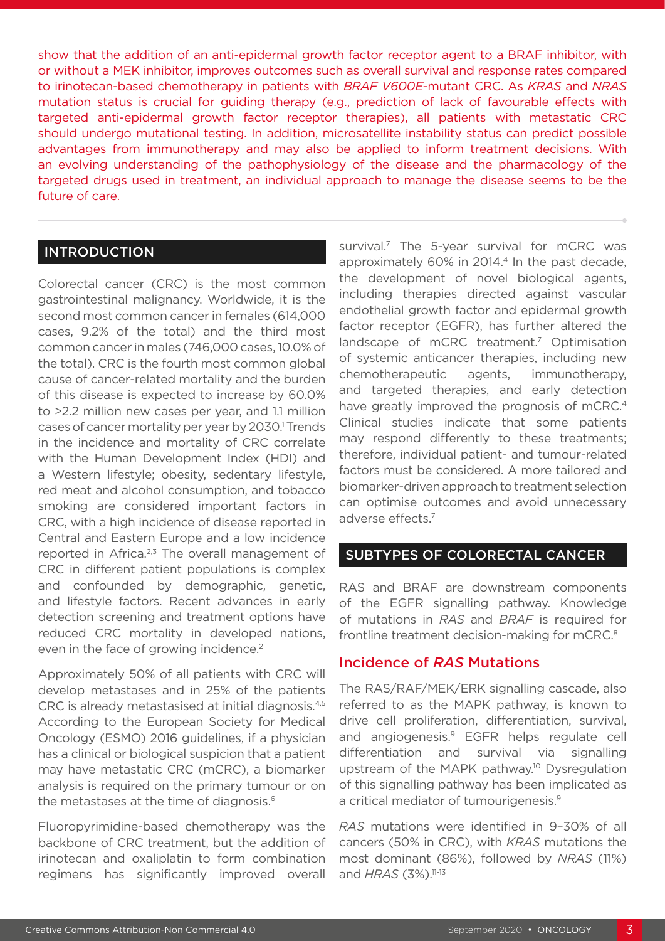show that the addition of an anti-epidermal growth factor receptor agent to a BRAF inhibitor, with or without a MEK inhibitor, improves outcomes such as overall survival and response rates compared to irinotecan-based chemotherapy in patients with *BRAF V600E*-mutant CRC. As *KRAS* and *NRAS* mutation status is crucial for guiding therapy (e.g., prediction of lack of favourable effects with targeted anti-epidermal growth factor receptor therapies), all patients with metastatic CRC should undergo mutational testing. In addition, microsatellite instability status can predict possible advantages from immunotherapy and may also be applied to inform treatment decisions. With an evolving understanding of the pathophysiology of the disease and the pharmacology of the targeted drugs used in treatment, an individual approach to manage the disease seems to be the future of care.

#### **INTRODUCTION**

Colorectal cancer (CRC) is the most common gastrointestinal malignancy. Worldwide, it is the second most common cancer in females (614,000 cases, 9.2% of the total) and the third most common cancer in males (746,000 cases, 10.0% of the total). CRC is the fourth most common global cause of cancer-related mortality and the burden of this disease is expected to increase by 60.0% to >2.2 million new cases per year, and 1.1 million cases of cancer mortality per year by 2030.<sup>1</sup> Trends in the incidence and mortality of CRC correlate with the Human Development Index (HDI) and a Western lifestyle; obesity, sedentary lifestyle, red meat and alcohol consumption, and tobacco smoking are considered important factors in CRC, with a high incidence of disease reported in Central and Eastern Europe and a low incidence reported in Africa.<sup>2,3</sup> The overall management of CRC in different patient populations is complex and confounded by demographic, genetic, and lifestyle factors. Recent advances in early detection screening and treatment options have reduced CRC mortality in developed nations, even in the face of growing incidence.<sup>2</sup>

Approximately 50% of all patients with CRC will develop metastases and in 25% of the patients CRC is already metastasised at initial diagnosis.4,5 According to the European Society for Medical Oncology (ESMO) 2016 guidelines, if a physician has a clinical or biological suspicion that a patient may have metastatic CRC (mCRC), a biomarker analysis is required on the primary tumour or on the metastases at the time of diagnosis.<sup>6</sup>

Fluoropyrimidine-based chemotherapy was the backbone of CRC treatment, but the addition of irinotecan and oxaliplatin to form combination regimens has significantly improved overall

survival.<sup>7</sup> The 5-year survival for mCRC was approximately  $60\%$  in 2014.<sup>4</sup> In the past decade, the development of novel biological agents, including therapies directed against vascular endothelial growth factor and epidermal growth factor receptor (EGFR), has further altered the landscape of mCRC treatment.<sup>7</sup> Optimisation of systemic anticancer therapies, including new chemotherapeutic agents, immunotherapy, and targeted therapies, and early detection have greatly improved the prognosis of mCRC.<sup>4</sup> Clinical studies indicate that some patients may respond differently to these treatments; therefore, individual patient- and tumour-related factors must be considered. A more tailored and biomarker-driven approach to treatment selection can optimise outcomes and avoid unnecessary adverse effects.7

## SUBTYPES OF COLORECTAL CANCER

RAS and BRAF are downstream components of the EGFR signalling pathway. Knowledge of mutations in *RAS* and *BRAF* is required for frontline treatment decision-making for mCRC.<sup>8</sup>

#### Incidence of *RAS* Mutations

The RAS/RAF/MEK/ERK signalling cascade, also referred to as the MAPK pathway, is known to drive cell proliferation, differentiation, survival, and angiogenesis.9 EGFR helps regulate cell differentiation and survival via signalling upstream of the MAPK pathway.<sup>10</sup> Dysregulation of this signalling pathway has been implicated as a critical mediator of tumourigenesis.<sup>9</sup>

*RAS* mutations were identified in 9–30% of all cancers (50% in CRC), with *KRAS* mutations the most dominant (86%), followed by *NRAS* (11%) and *HRAS* (3%).<sup>11-13</sup>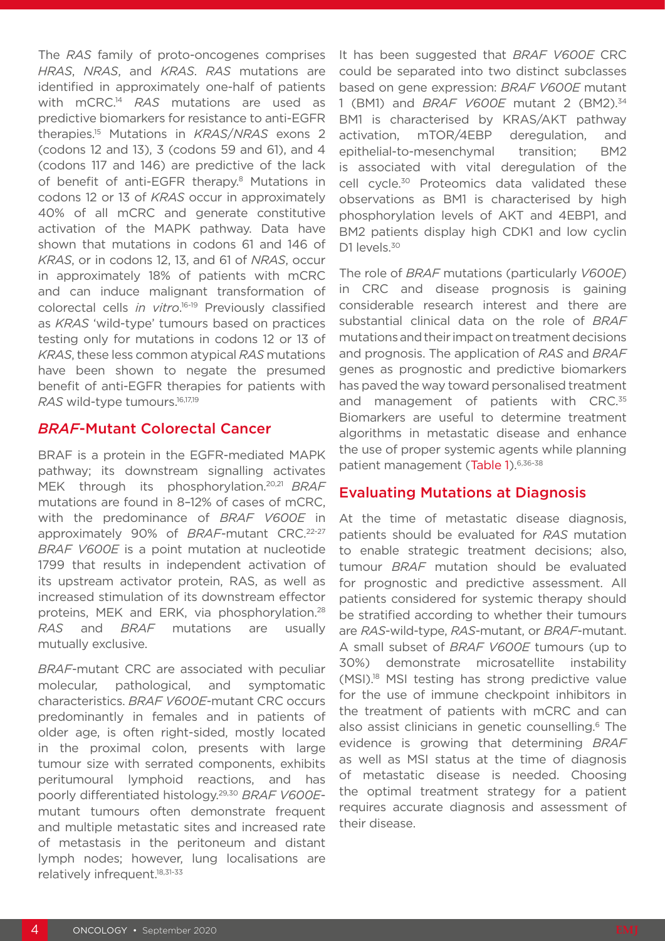The *RAS* family of proto-oncogenes comprises *HRAS*, *NRAS*, and *KRAS*. *RAS* mutations are identified in approximately one-half of patients with mCRC.14 *RAS* mutations are used as predictive biomarkers for resistance to anti-EGFR therapies.15 Mutations in *KRAS*/*NRAS* exons 2 (codons 12 and 13), 3 (codons 59 and 61), and 4 (codons 117 and 146) are predictive of the lack of benefit of anti-EGFR therapy.<sup>8</sup> Mutations in codons 12 or 13 of *KRAS* occur in approximately 40% of all mCRC and generate constitutive activation of the MAPK pathway. Data have shown that mutations in codons 61 and 146 of *KRAS*, or in codons 12, 13, and 61 of *NRAS*, occur in approximately 18% of patients with mCRC and can induce malignant transformation of colorectal cells *in vitro*. 16-19 Previously classified as *KRAS* 'wild-type' tumours based on practices testing only for mutations in codons 12 or 13 of *KRAS*, these less common atypical *RAS* mutations have been shown to negate the presumed benefit of anti-EGFR therapies for patients with RAS wild-type tumours.<sup>16,17,19</sup>

#### *BRAF*-Mutant Colorectal Cancer

BRAF is a protein in the EGFR-mediated MAPK pathway; its downstream signalling activates MEK through its phosphorylation.20,21 *BRAF* mutations are found in 8–12% of cases of mCRC, with the predominance of *BRAF V600E* in approximately 90% of *BRAF*-mutant CRC.22-27 *BRAF V600E* is a point mutation at nucleotide 1799 that results in independent activation of its upstream activator protein, RAS, as well as increased stimulation of its downstream effector proteins, MEK and ERK, via phosphorylation.<sup>28</sup> *RAS* and *BRAF* mutations are usually mutually exclusive.

*BRAF*-mutant CRC are associated with peculiar molecular, pathological, and symptomatic characteristics. *BRAF V600E*-mutant CRC occurs predominantly in females and in patients of older age, is often right-sided, mostly located in the proximal colon, presents with large tumour size with serrated components, exhibits peritumoural lymphoid reactions, and has poorly differentiated histology.29,30 *BRAF V600E*mutant tumours often demonstrate frequent and multiple metastatic sites and increased rate of metastasis in the peritoneum and distant lymph nodes; however, lung localisations are relatively infrequent.18,31-33

It has been suggested that *BRAF V600E* CRC could be separated into two distinct subclasses based on gene expression: *BRAF V600E* mutant 1 (BM1) and *BRAF V600E* mutant 2 (BM2).34 BM1 is characterised by KRAS/AKT pathway activation, mTOR/4EBP deregulation, and epithelial-to-mesenchymal transition; BM2 is associated with vital deregulation of the cell cycle.<sup>30</sup> Proteomics data validated these observations as BM1 is characterised by high phosphorylation levels of AKT and 4EBP1, and BM2 patients display high CDK1 and low cyclin D1 levels.<sup>30</sup>

The role of *BRAF* mutations (particularly *V600E*) in CRC and disease prognosis is gaining considerable research interest and there are substantial clinical data on the role of *BRAF* mutations and their impact on treatment decisions and prognosis. The application of *RAS* and *BRAF* genes as prognostic and predictive biomarkers has paved the way toward personalised treatment and management of patients with CRC.<sup>35</sup> Biomarkers are useful to determine treatment algorithms in metastatic disease and enhance the use of proper systemic agents while planning patient management (Table 1).6,36-38

#### Evaluating Mutations at Diagnosis

At the time of metastatic disease diagnosis, patients should be evaluated for *RAS* mutation to enable strategic treatment decisions; also, tumour *BRAF* mutation should be evaluated for prognostic and predictive assessment. All patients considered for systemic therapy should be stratified according to whether their tumours are *RAS*-wild-type, *RAS*-mutant, or *BRAF*-mutant. A small subset of *BRAF V600E* tumours (up to 30%) demonstrate microsatellite instability (MSI).18 MSI testing has strong predictive value for the use of immune checkpoint inhibitors in the treatment of patients with mCRC and can also assist clinicians in genetic counselling.<sup>6</sup> The evidence is growing that determining *BRAF* as well as MSI status at the time of diagnosis of metastatic disease is needed. Choosing the optimal treatment strategy for a patient requires accurate diagnosis and assessment of their disease.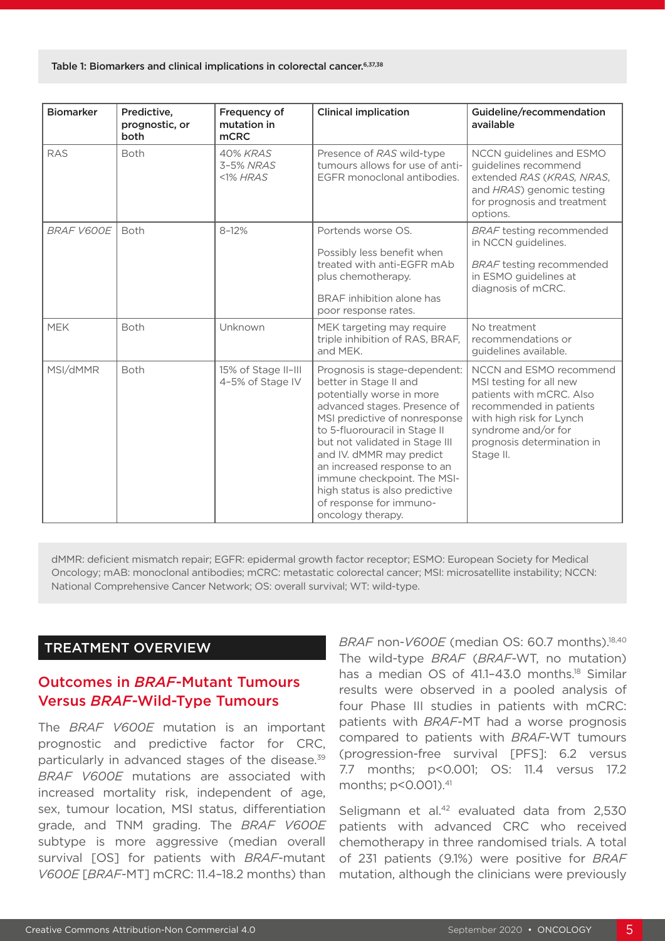| <b>Biomarker</b>  | Predictive,<br>prognostic, or<br>both | Frequency of<br>mutation in<br><b>mCRC</b> | <b>Clinical implication</b>                                                                                                                                                                                                                                                                                                                                                                          | Guideline/recommendation<br>available                                                                                                                                                                   |
|-------------------|---------------------------------------|--------------------------------------------|------------------------------------------------------------------------------------------------------------------------------------------------------------------------------------------------------------------------------------------------------------------------------------------------------------------------------------------------------------------------------------------------------|---------------------------------------------------------------------------------------------------------------------------------------------------------------------------------------------------------|
| <b>RAS</b>        | <b>Both</b>                           | 40% KRAS<br>3-5% NRAS<br>$<$ 1% HRAS       | Presence of RAS wild-type<br>tumours allows for use of anti-<br>EGFR monoclonal antibodies.                                                                                                                                                                                                                                                                                                          | NCCN guidelines and ESMO<br>guidelines recommend<br>extended RAS (KRAS, NRAS,<br>and HRAS) genomic testing<br>for prognosis and treatment<br>options.                                                   |
| <b>BRAF V600E</b> | <b>Both</b>                           | $8 - 12%$                                  | Portends worse OS.<br>Possibly less benefit when<br>treated with anti-EGFR mAb<br>plus chemotherapy.<br>BRAF inhibition alone has<br>poor response rates.                                                                                                                                                                                                                                            | <b>BRAF</b> testing recommended<br>in NCCN guidelines.<br><b>BRAF</b> testing recommended<br>in ESMO guidelines at<br>diagnosis of mCRC.                                                                |
| <b>MEK</b>        | <b>Both</b>                           | Unknown                                    | MEK targeting may require<br>triple inhibition of RAS, BRAF,<br>and MEK.                                                                                                                                                                                                                                                                                                                             | No treatment<br>recommendations or<br>guidelines available.                                                                                                                                             |
| MSI/dMMR          | <b>Both</b>                           | 15% of Stage II-III<br>4-5% of Stage IV    | Prognosis is stage-dependent:<br>better in Stage II and<br>potentially worse in more<br>advanced stages. Presence of<br>MSI predictive of nonresponse<br>to 5-fluorouracil in Stage II<br>but not validated in Stage III<br>and IV. dMMR may predict<br>an increased response to an<br>immune checkpoint. The MSI-<br>high status is also predictive<br>of response for immuno-<br>oncology therapy. | NCCN and ESMO recommend<br>MSI testing for all new<br>patients with mCRC. Also<br>recommended in patients<br>with high risk for Lynch<br>syndrome and/or for<br>prognosis determination in<br>Stage II. |

dMMR: deficient mismatch repair; EGFR: epidermal growth factor receptor; ESMO: European Society for Medical Oncology; mAB: monoclonal antibodies; mCRC: metastatic colorectal cancer; MSI: microsatellite instability; NCCN: National Comprehensive Cancer Network; OS: overall survival; WT: wild-type.

## TREATMENT OVERVIEW

## Outcomes in *BRAF*-Mutant Tumours Versus *BRAF*-Wild-Type Tumours

The *BRAF V600E* mutation is an important prognostic and predictive factor for CRC, particularly in advanced stages of the disease.39 *BRAF V600E* mutations are associated with increased mortality risk, independent of age, sex, tumour location, MSI status, differentiation grade, and TNM grading. The *BRAF V600E* subtype is more aggressive (median overall survival [OS] for patients with *BRAF*-mutant *V600E* [*BRAF*-MT] mCRC: 11.4–18.2 months) than

*BRAF* non-*V600E* (median OS: 60.7 months).18,40 The wild-type *BRAF* (*BRAF*-WT, no mutation) has a median OS of 41.1-43.0 months.<sup>18</sup> Similar results were observed in a pooled analysis of four Phase III studies in patients with mCRC: patients with *BRAF*-MT had a worse prognosis compared to patients with *BRAF*-WT tumours (progression-free survival [PFS]: 6.2 versus 7.7 months; p<0.001; OS: 11.4 versus 17.2 months; p<0.001).<sup>41</sup>

Seligmann et al.<sup>42</sup> evaluated data from 2,530 patients with advanced CRC who received chemotherapy in three randomised trials. A total of 231 patients (9.1%) were positive for *BRAF* mutation, although the clinicians were previously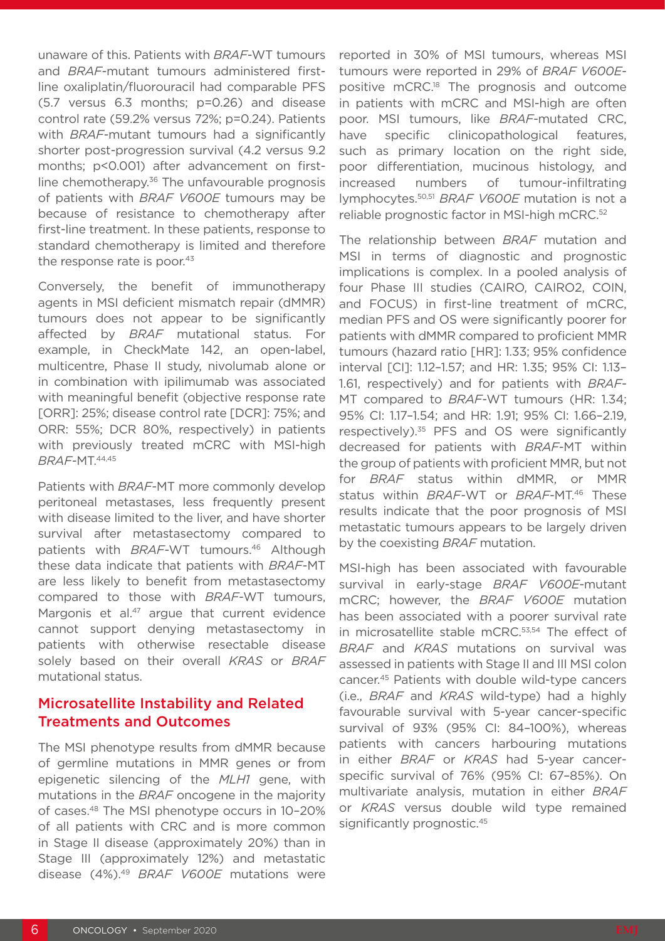unaware of this. Patients with *BRAF*-WT tumours and *BRAF*-mutant tumours administered firstline oxaliplatin/fluorouracil had comparable PFS (5.7 versus 6.3 months; p=0.26) and disease control rate (59.2% versus 72%; p=0.24). Patients with *BRAF*-mutant tumours had a significantly shorter post-progression survival (4.2 versus 9.2 months; p<0.001) after advancement on firstline chemotherapy. $36$  The unfavourable prognosis of patients with *BRAF V600E* tumours may be because of resistance to chemotherapy after first-line treatment. In these patients, response to standard chemotherapy is limited and therefore the response rate is poor.<sup>43</sup>

Conversely, the benefit of immunotherapy agents in MSI deficient mismatch repair (dMMR) tumours does not appear to be significantly affected by *BRAF* mutational status. For example, in CheckMate 142, an open-label, multicentre, Phase II study, nivolumab alone or in combination with ipilimumab was associated with meaningful benefit (objective response rate [ORR]: 25%; disease control rate [DCR]: 75%; and ORR: 55%; DCR 80%, respectively) in patients with previously treated mCRC with MSI-high *BRAF*-MT.44,45

Patients with *BRAF*-MT more commonly develop peritoneal metastases, less frequently present with disease limited to the liver, and have shorter survival after metastasectomy compared to patients with *BRAF*-WT tumours.46 Although these data indicate that patients with *BRAF*-MT are less likely to benefit from metastasectomy compared to those with *BRAF*-WT tumours, Margonis et al.<sup>47</sup> argue that current evidence cannot support denying metastasectomy in patients with otherwise resectable disease solely based on their overall *KRAS* or *BRAF* mutational status.

## Microsatellite Instability and Related Treatments and Outcomes

The MSI phenotype results from dMMR because of germline mutations in MMR genes or from epigenetic silencing of the *MLH1* gene, with mutations in the *BRAF* oncogene in the majority of cases.48 The MSI phenotype occurs in 10–20% of all patients with CRC and is more common in Stage II disease (approximately 20%) than in Stage III (approximately 12%) and metastatic disease (4%).49 *BRAF V600E* mutations were

reported in 30% of MSI tumours, whereas MSI tumours were reported in 29% of *BRAF V600E*positive mCRC.18 The prognosis and outcome in patients with mCRC and MSI-high are often poor. MSI tumours, like *BRAF*-mutated CRC, have specific clinicopathological features, such as primary location on the right side, poor differentiation, mucinous histology, and increased numbers of tumour-infiltrating lymphocytes.50,51 *BRAF V600E* mutation is not a reliable prognostic factor in MSI-high mCRC.<sup>52</sup>

The relationship between *BRAF* mutation and MSI in terms of diagnostic and prognostic implications is complex. In a pooled analysis of four Phase III studies (CAIRO, CAIRO2, COIN, and FOCUS) in first-line treatment of mCRC, median PFS and OS were significantly poorer for patients with dMMR compared to proficient MMR tumours (hazard ratio [HR]: 1.33; 95% confidence interval [CI]: 1.12–1.57; and HR: 1.35; 95% CI: 1.13– 1.61, respectively) and for patients with *BRAF*-MT compared to *BRAF*-WT tumours (HR: 1.34; 95% CI: 1.17–1.54; and HR: 1.91; 95% CI: 1.66–2.19, respectively).<sup>35</sup> PFS and OS were significantly decreased for patients with *BRAF*-MT within the group of patients with proficient MMR, but not for *BRAF* status within dMMR, or MMR status within *BRAF-*WT or *BRAF*-MT.46 These results indicate that the poor prognosis of MSI metastatic tumours appears to be largely driven by the coexisting *BRAF* mutation.

MSI-high has been associated with favourable survival in early-stage *BRAF V600E*-mutant mCRC; however, the *BRAF V600E* mutation has been associated with a poorer survival rate in microsatellite stable mCRC.<sup>53,54</sup> The effect of *BRAF* and *KRAS* mutations on survival was assessed in patients with Stage II and III MSI colon cancer.45 Patients with double wild-type cancers (i.e., *BRAF* and *KRAS* wild-type) had a highly favourable survival with 5-year cancer-specific survival of 93% (95% CI: 84–100%), whereas patients with cancers harbouring mutations in either *BRAF* or *KRAS* had 5-year cancerspecific survival of 76% (95% CI: 67–85%). On multivariate analysis, mutation in either *BRAF* or *KRAS* versus double wild type remained significantly prognostic.<sup>45</sup>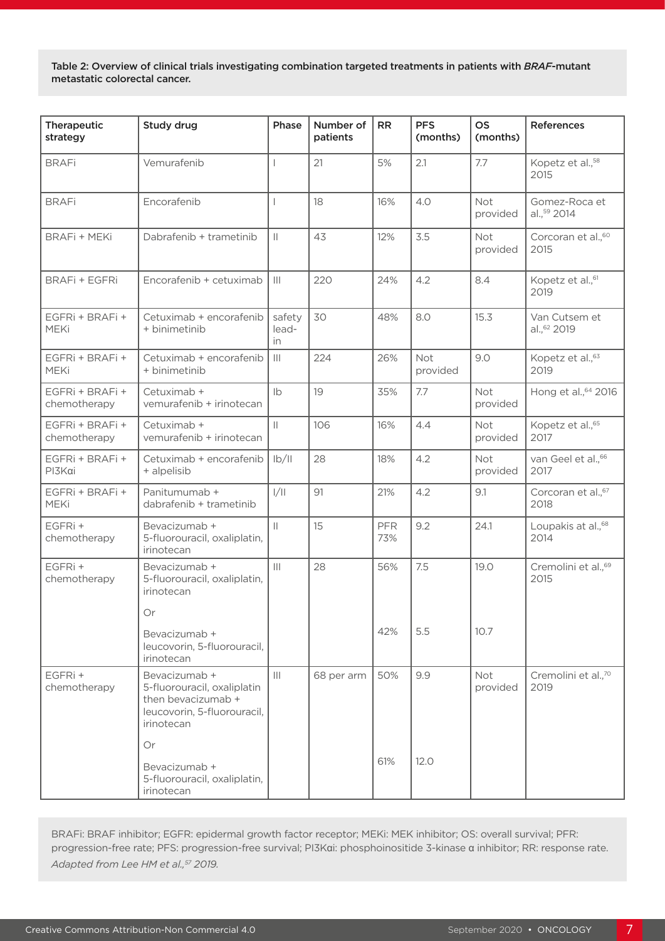Table 2: Overview of clinical trials investigating combination targeted treatments in patients with *BRAF*-mutant metastatic colorectal cancer.

| Therapeutic<br>strategy         | Study drug                                                                                                      | Phase                                           | Number of<br>patients | <b>RR</b>         | <b>PFS</b><br>(months) | <b>OS</b><br>(months) | References                               |
|---------------------------------|-----------------------------------------------------------------------------------------------------------------|-------------------------------------------------|-----------------------|-------------------|------------------------|-----------------------|------------------------------------------|
| <b>BRAFi</b>                    | Vemurafenib                                                                                                     |                                                 | 21                    | 5%                | 2.1                    | 7.7                   | Kopetz et al., <sup>58</sup><br>2015     |
| <b>BRAFi</b>                    | Encorafenib                                                                                                     |                                                 | 18                    | 16%               | 4.0                    | Not<br>provided       | Gomez-Roca et<br>al., 59 2014            |
| <b>BRAFi + MEKi</b>             | Dabrafenib + trametinib                                                                                         | $\mathbf{  }$                                   | 43                    | 12%               | 3.5                    | Not<br>provided       | Corcoran et al., <sup>60</sup><br>2015   |
| <b>BRAFi + EGFRi</b>            | Encorafenib + cetuximab                                                                                         | $\vert\vert\vert$                               | 220                   | 24%               | 4.2                    | 8.4                   | Kopetz et al., <sup>61</sup><br>2019     |
| EGFRi + BRAFi +<br><b>MEKi</b>  | Cetuximab + encorafenib<br>+ binimetinib                                                                        | safety<br>lead-<br>in.                          | 30                    | 48%               | 8.0                    | 15.3                  | Van Cutsem et<br>al., <sup>62</sup> 2019 |
| EGFRi + BRAFi +<br><b>MEKi</b>  | Cetuximab + encorafenib<br>+ binimetinib                                                                        | $\mathbf{III}$                                  | 224                   | 26%               | Not<br>provided        | 9.0                   | Kopetz et al., 63<br>2019                |
| EGFRi + BRAFi +<br>chemotherapy | Cetuximab +<br>vemurafenib + irinotecan                                                                         | Ib                                              | 19                    | 35%               | 7.7                    | Not<br>provided       | Hong et al., 64 2016                     |
| EGFRi + BRAFi +<br>chemotherapy | Cetuximab +<br>vemurafenib + irinotecan                                                                         | $\vert\vert$                                    | 106                   | 16%               | 4.4                    | Not<br>provided       | Kopetz et al., <sup>65</sup><br>2017     |
| EGFRi + BRAFi +<br>PI3Kai       | Cetuximab + encorafenib<br>+ alpelisib                                                                          | $\frac{ b }{ }$                                 | 28                    | 18%               | 4.2                    | Not<br>provided       | van Geel et al., <sup>66</sup><br>2017   |
| EGFRi + BRAFi +<br><b>MEKi</b>  | Panitumumab +<br>dabrafenib + trametinib                                                                        | 1/11                                            | 91                    | 21%               | 4.2                    | 9.1                   | Corcoran et al., <sup>67</sup><br>2018   |
| EGFRi+<br>chemotherapy          | Bevacizumab +<br>5-fluorouracil, oxaliplatin,<br>irinotecan                                                     | $\vert\vert$                                    | 15                    | <b>PFR</b><br>73% | 9.2                    | 24.1                  | Loupakis at al., <sup>68</sup><br>2014   |
| EGFRi+<br>chemotherapy          | Bevacizumab +<br>5-fluorouracil, oxaliplatin,<br>irinotecan                                                     | $\left\vert \right\vert \left\vert \right\vert$ | 28                    | 56%               | 7.5                    | 19.0                  | Cremolini et al., <sup>69</sup><br>2015  |
|                                 | Or                                                                                                              |                                                 |                       |                   |                        |                       |                                          |
|                                 | Bevacizumab +<br>leucovorin, 5-fluorouracil,<br>irinotecan                                                      |                                                 |                       | 42%               | 5.5                    | 10.7                  |                                          |
| EGFRi+<br>chemotherapy          | Bevacizumab +<br>5-fluorouracil, oxaliplatin<br>then bevacizumab +<br>leucovorin, 5-fluorouracil,<br>irinotecan | $\mathbf{III}$                                  | 68 per arm            | 50%               | 9.9                    | Not<br>provided       | Cremolini et al., <sup>70</sup><br>2019  |
|                                 | Or<br>Bevacizumab +<br>5-fluorouracil, oxaliplatin,<br>irinotecan                                               |                                                 |                       | 61%               | 12.0                   |                       |                                          |

BRAFi: BRAF inhibitor; EGFR: epidermal growth factor receptor; MEKi: MEK inhibitor; OS: overall survival; PFR: progression-free rate; PFS: progression-free survival; PI3Kαi: phosphoinositide 3-kinase α inhibitor; RR: response rate. *Adapted from Lee HM et al.,57 2019.*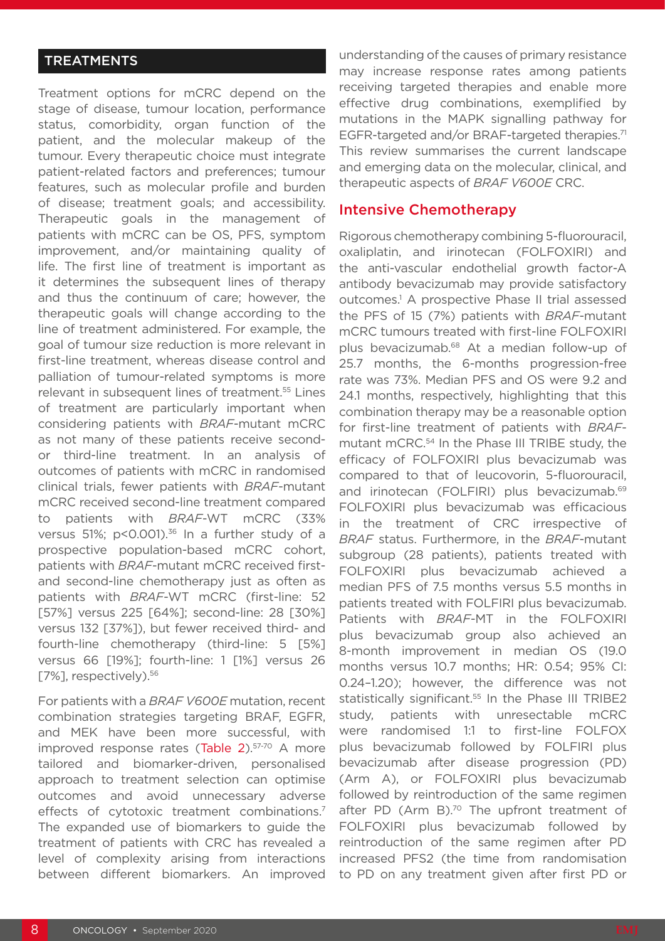## **TREATMENTS**

Treatment options for mCRC depend on the stage of disease, tumour location, performance status, comorbidity, organ function of the patient, and the molecular makeup of the tumour. Every therapeutic choice must integrate patient-related factors and preferences; tumour features, such as molecular profile and burden of disease; treatment goals; and accessibility. Therapeutic goals in the management of patients with mCRC can be OS, PFS, symptom improvement, and/or maintaining quality of life. The first line of treatment is important as it determines the subsequent lines of therapy and thus the continuum of care; however, the therapeutic goals will change according to the line of treatment administered. For example, the goal of tumour size reduction is more relevant in first-line treatment, whereas disease control and palliation of tumour-related symptoms is more relevant in subsequent lines of treatment.55 Lines of treatment are particularly important when considering patients with *BRAF*-mutant mCRC as not many of these patients receive secondor third-line treatment. In an analysis of outcomes of patients with mCRC in randomised clinical trials, fewer patients with *BRAF*-mutant mCRC received second-line treatment compared to patients with *BRAF*-WT mCRC (33% versus 51%;  $p$ <0.001).<sup>36</sup> In a further study of a prospective population-based mCRC cohort, patients with *BRAF*-mutant mCRC received firstand second-line chemotherapy just as often as patients with *BRAF*-WT mCRC (first-line: 52 [57%] versus 225 [64%]; second-line: 28 [30%] versus 132 [37%]), but fewer received third- and fourth-line chemotherapy (third-line: 5 [5%] versus 66 [19%]; fourth-line: 1 [1%] versus 26 [7%], respectively).<sup>56</sup>

For patients with a *BRAF V600E* mutation, recent combination strategies targeting BRAF, EGFR, and MEK have been more successful, with improved response rates (Table 2).<sup>57-70</sup> A more tailored and biomarker-driven, personalised approach to treatment selection can optimise outcomes and avoid unnecessary adverse effects of cytotoxic treatment combinations.<sup>7</sup> The expanded use of biomarkers to guide the treatment of patients with CRC has revealed a level of complexity arising from interactions between different biomarkers. An improved

understanding of the causes of primary resistance may increase response rates among patients receiving targeted therapies and enable more effective drug combinations, exemplified by mutations in the MAPK signalling pathway for EGFR-targeted and/or BRAF-targeted therapies.<sup>71</sup> This review summarises the current landscape and emerging data on the molecular, clinical, and therapeutic aspects of *BRAF V600E* CRC.

#### Intensive Chemotherapy

Rigorous chemotherapy combining 5-fluorouracil, oxaliplatin, and irinotecan (FOLFOXIRI) and the anti-vascular endothelial growth factor-A antibody bevacizumab may provide satisfactory outcomes.1 A prospective Phase II trial assessed the PFS of 15 (7%) patients with *BRAF*-mutant mCRC tumours treated with first-line FOLFOXIRI plus bevacizumab.68 At a median follow-up of 25.7 months, the 6-months progression-free rate was 73%. Median PFS and OS were 9.2 and 24.1 months, respectively, highlighting that this combination therapy may be a reasonable option for first-line treatment of patients with *BRAF*mutant mCRC.54 In the Phase III TRIBE study, the efficacy of FOLFOXIRI plus bevacizumab was compared to that of leucovorin, 5-fluorouracil, and irinotecan (FOLFIRI) plus bevacizumab.<sup>69</sup> FOLFOXIRI plus bevacizumab was efficacious in the treatment of CRC irrespective of *BRAF* status. Furthermore, in the *BRAF*-mutant subgroup (28 patients), patients treated with FOLFOXIRI plus bevacizumab achieved a median PFS of 7.5 months versus 5.5 months in patients treated with FOLFIRI plus bevacizumab. Patients with *BRAF*-MT in the FOLFOXIRI plus bevacizumab group also achieved an 8-month improvement in median OS (19.0 months versus 10.7 months; HR: 0.54; 95% CI: 0.24–1.20); however, the difference was not statistically significant.<sup>55</sup> In the Phase III TRIBE2 study, patients with unresectable mCRC were randomised 1:1 to first-line FOLFOX plus bevacizumab followed by FOLFIRI plus bevacizumab after disease progression (PD) (Arm A), or FOLFOXIRI plus bevacizumab followed by reintroduction of the same regimen after PD (Arm B). $70$  The upfront treatment of FOLFOXIRI plus bevacizumab followed by reintroduction of the same regimen after PD increased PFS2 (the time from randomisation to PD on any treatment given after first PD or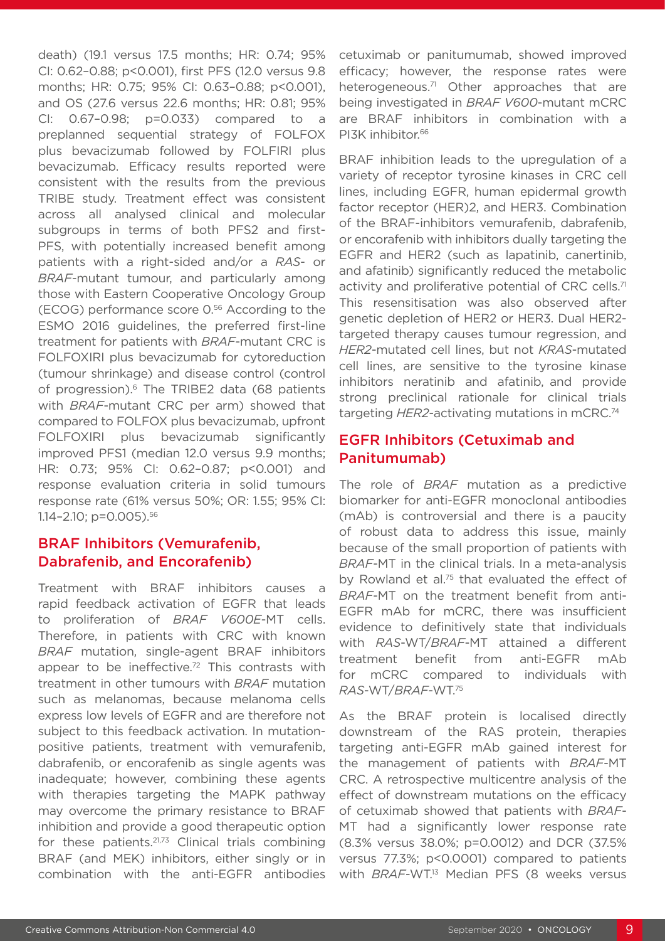death) (19.1 versus 17.5 months; HR: 0.74; 95% CI: 0.62–0.88; p<0.001), first PFS (12.0 versus 9.8 months; HR: 0.75; 95% CI: 0.63–0.88; p<0.001), and OS (27.6 versus 22.6 months; HR: 0.81; 95% CI: 0.67–0.98; p=0.033) compared to a preplanned sequential strategy of FOLFOX plus bevacizumab followed by FOLFIRI plus bevacizumab. Efficacy results reported were consistent with the results from the previous TRIBE study. Treatment effect was consistent across all analysed clinical and molecular subgroups in terms of both PFS2 and first-PFS, with potentially increased benefit among patients with a right-sided and/or a *RAS*- or *BRAF*-mutant tumour, and particularly among those with Eastern Cooperative Oncology Group (ECOG) performance score 0.56 According to the ESMO 2016 guidelines, the preferred first-line treatment for patients with *BRAF*-mutant CRC is FOLFOXIRI plus bevacizumab for cytoreduction (tumour shrinkage) and disease control (control of progression).<sup>6</sup> The TRIBE2 data (68 patients with *BRAF*-mutant CRC per arm) showed that compared to FOLFOX plus bevacizumab, upfront FOLFOXIRI plus bevacizumab significantly improved PFS1 (median 12.0 versus 9.9 months; HR: 0.73; 95% CI: 0.62–0.87; p<0.001) and response evaluation criteria in solid tumours response rate (61% versus 50%; OR: 1.55; 95% CI: 1.14–2.10; p=0.005).56

## BRAF Inhibitors (Vemurafenib, Dabrafenib, and Encorafenib)

Treatment with BRAF inhibitors causes a rapid feedback activation of EGFR that leads to proliferation of *BRAF V600E*-MT cells. Therefore, in patients with CRC with known *BRAF* mutation, single-agent BRAF inhibitors appear to be ineffective.<sup>72</sup> This contrasts with treatment in other tumours with *BRAF* mutation such as melanomas, because melanoma cells express low levels of EGFR and are therefore not subject to this feedback activation. In mutationpositive patients, treatment with vemurafenib, dabrafenib, or encorafenib as single agents was inadequate; however, combining these agents with therapies targeting the MAPK pathway may overcome the primary resistance to BRAF inhibition and provide a good therapeutic option for these patients.21,73 Clinical trials combining BRAF (and MEK) inhibitors, either singly or in combination with the anti-EGFR antibodies

cetuximab or panitumumab, showed improved efficacy; however, the response rates were heterogeneous.<sup>71</sup> Other approaches that are being investigated in *BRAF V600*-mutant mCRC are BRAF inhibitors in combination with a PI3K inhibitor.<sup>66</sup>

BRAF inhibition leads to the upregulation of a variety of receptor tyrosine kinases in CRC cell lines, including EGFR, human epidermal growth factor receptor (HER)2, and HER3. Combination of the BRAF-inhibitors vemurafenib, dabrafenib, or encorafenib with inhibitors dually targeting the EGFR and HER2 (such as lapatinib, canertinib, and afatinib) significantly reduced the metabolic activity and proliferative potential of CRC cells.<sup>71</sup> This resensitisation was also observed after genetic depletion of HER2 or HER3. Dual HER2 targeted therapy causes tumour regression, and *HER2*-mutated cell lines, but not *KRAS*-mutated cell lines, are sensitive to the tyrosine kinase inhibitors neratinib and afatinib, and provide strong preclinical rationale for clinical trials targeting *HER2*-activating mutations in mCRC.74

## EGFR Inhibitors (Cetuximab and Panitumumab)

The role of *BRAF* mutation as a predictive biomarker for anti-EGFR monoclonal antibodies (mAb) is controversial and there is a paucity of robust data to address this issue, mainly because of the small proportion of patients with *BRAF*-MT in the clinical trials. In a meta-analysis by Rowland et al.<sup>75</sup> that evaluated the effect of *BRAF*-MT on the treatment benefit from anti-EGFR mAb for mCRC, there was insufficient evidence to definitively state that individuals with *RAS*-WT/*BRAF*-MT attained a different treatment benefit from anti-EGFR mAb for mCRC compared to individuals with *RAS*-WT/*BRAF*-WT.75

As the BRAF protein is localised directly downstream of the RAS protein, therapies targeting anti-EGFR mAb gained interest for the management of patients with *BRAF*-MT CRC. A retrospective multicentre analysis of the effect of downstream mutations on the efficacy of cetuximab showed that patients with *BRAF*-MT had a significantly lower response rate (8.3% versus 38.0%; p=0.0012) and DCR (37.5% versus 77.3%; p<0.0001) compared to patients with *BRAF*-WT.<sup>13</sup> Median PFS (8 weeks versus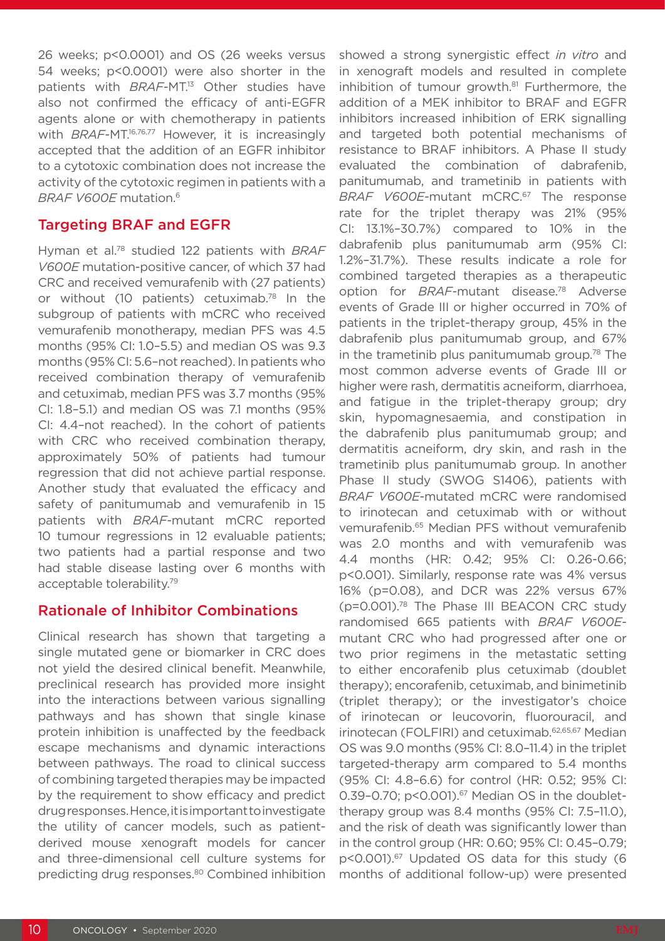26 weeks; p<0.0001) and OS (26 weeks versus 54 weeks; p<0.0001) were also shorter in the patients with *BRAF*-MT.<sup>13</sup> Other studies have also not confirmed the efficacy of anti-EGFR agents alone or with chemotherapy in patients with *BRAF-MT.<sup>16,76,77</sup>* However, it is increasingly accepted that the addition of an EGFR inhibitor to a cytotoxic combination does not increase the activity of the cytotoxic regimen in patients with a *BRAF V600E* mutation.6

#### Targeting BRAF and EGFR

Hyman et al.78 studied 122 patients with *BRAF V600E* mutation-positive cancer, of which 37 had CRC and received vemurafenib with (27 patients) or without (10 patients) cetuximab.<sup>78</sup> In the subgroup of patients with mCRC who received vemurafenib monotherapy, median PFS was 4.5 months (95% CI: 1.0–5.5) and median OS was 9.3 months (95% CI: 5.6–not reached). In patients who received combination therapy of vemurafenib and cetuximab, median PFS was 3.7 months (95% CI: 1.8–5.1) and median OS was 7.1 months (95% CI: 4.4–not reached). In the cohort of patients with CRC who received combination therapy, approximately 50% of patients had tumour regression that did not achieve partial response. Another study that evaluated the efficacy and safety of panitumumab and vemurafenib in 15 patients with *BRAF*-mutant mCRC reported 10 tumour regressions in 12 evaluable patients; two patients had a partial response and two had stable disease lasting over 6 months with acceptable tolerability.79

## Rationale of Inhibitor Combinations

Clinical research has shown that targeting a single mutated gene or biomarker in CRC does not yield the desired clinical benefit. Meanwhile, preclinical research has provided more insight into the interactions between various signalling pathways and has shown that single kinase protein inhibition is unaffected by the feedback escape mechanisms and dynamic interactions between pathways. The road to clinical success of combining targeted therapies may be impacted by the requirement to show efficacy and predict drug responses. Hence, it is important to investigate the utility of cancer models, such as patientderived mouse xenograft models for cancer and three-dimensional cell culture systems for predicting drug responses.80 Combined inhibition

showed a strong synergistic effect *in vitro* and in xenograft models and resulted in complete inhibition of tumour growth.<sup>81</sup> Furthermore, the addition of a MEK inhibitor to BRAF and EGFR inhibitors increased inhibition of ERK signalling and targeted both potential mechanisms of resistance to BRAF inhibitors. A Phase II study evaluated the combination of dabrafenib, panitumumab, and trametinib in patients with *BRAF V600E*-mutant mCRC.67 The response rate for the triplet therapy was 21% (95% CI: 13.1%–30.7%) compared to 10% in the dabrafenib plus panitumumab arm (95% CI: 1.2%–31.7%). These results indicate a role for combined targeted therapies as a therapeutic option for *BRAF*-mutant disease.78 Adverse events of Grade III or higher occurred in 70% of patients in the triplet-therapy group, 45% in the dabrafenib plus panitumumab group, and 67% in the trametinib plus panitumumab group.78 The most common adverse events of Grade III or higher were rash, dermatitis acneiform, diarrhoea, and fatigue in the triplet-therapy group; dry skin, hypomagnesaemia, and constipation in the dabrafenib plus panitumumab group; and dermatitis acneiform, dry skin, and rash in the trametinib plus panitumumab group. In another Phase II study (SWOG S1406), patients with *BRAF V600E*-mutated mCRC were randomised to irinotecan and cetuximab with or without vemurafenib.65 Median PFS without vemurafenib was 2.0 months and with vemurafenib was 4.4 months (HR: 0.42; 95% CI: 0.26-0.66; p<0.001). Similarly, response rate was 4% versus 16% (p=0.08), and DCR was 22% versus 67% (p=0.001).78 The Phase III BEACON CRC study randomised 665 patients with *BRAF V600E*mutant CRC who had progressed after one or two prior regimens in the metastatic setting to either encorafenib plus cetuximab (doublet therapy); encorafenib, cetuximab, and binimetinib (triplet therapy); or the investigator's choice of irinotecan or leucovorin, fluorouracil, and irinotecan (FOLFIRI) and cetuximab.62,65,67 Median OS was 9.0 months (95% CI: 8.0–11.4) in the triplet targeted-therapy arm compared to 5.4 months (95% CI: 4.8–6.6) for control (HR: 0.52; 95% CI: 0.39-0.70;  $p$ <0.001). $67$  Median OS in the doublettherapy group was 8.4 months (95% CI: 7.5–11.0), and the risk of death was significantly lower than in the control group (HR: 0.60; 95% CI: 0.45–0.79; p<0.001).<sup>67</sup> Updated OS data for this study (6 months of additional follow-up) were presented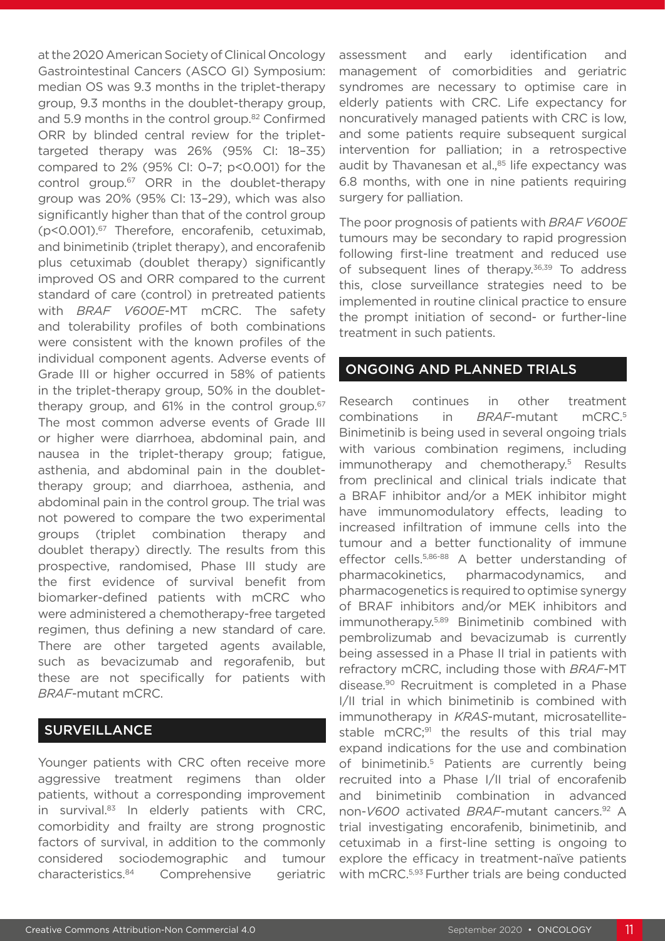at the 2020 American Society of Clinical Oncology Gastrointestinal Cancers (ASCO GI) Symposium: median OS was 9.3 months in the triplet-therapy group, 9.3 months in the doublet-therapy group, and 5.9 months in the control group.<sup>82</sup> Confirmed ORR by blinded central review for the triplettargeted therapy was 26% (95% CI: 18–35) compared to 2% (95% CI: 0–7; p<0.001) for the control group.<sup>67</sup> ORR in the doublet-therapy group was 20% (95% CI: 13–29), which was also significantly higher than that of the control group (p<0.001).67 Therefore, encorafenib, cetuximab, and binimetinib (triplet therapy), and encorafenib plus cetuximab (doublet therapy) significantly improved OS and ORR compared to the current standard of care (control) in pretreated patients with *BRAF V600E*-MT mCRC. The safety and tolerability profiles of both combinations were consistent with the known profiles of the individual component agents. Adverse events of Grade III or higher occurred in 58% of patients in the triplet-therapy group, 50% in the doublettherapy group, and 61% in the control group.<sup>67</sup> The most common adverse events of Grade III or higher were diarrhoea, abdominal pain, and nausea in the triplet-therapy group; fatigue, asthenia, and abdominal pain in the doublettherapy group; and diarrhoea, asthenia, and abdominal pain in the control group. The trial was not powered to compare the two experimental groups (triplet combination therapy and doublet therapy) directly. The results from this prospective, randomised, Phase III study are the first evidence of survival benefit from biomarker-defined patients with mCRC who were administered a chemotherapy-free targeted regimen, thus defining a new standard of care. There are other targeted agents available, such as bevacizumab and regorafenib, but these are not specifically for patients with *BRAF*-mutant mCRC.

## **SURVEILLANCE**

Younger patients with CRC often receive more aggressive treatment regimens than older patients, without a corresponding improvement in survival. $83$  In elderly patients with CRC, comorbidity and frailty are strong prognostic factors of survival, in addition to the commonly considered sociodemographic and tumour characteristics.84 Comprehensive geriatric

assessment and early identification and management of comorbidities and geriatric syndromes are necessary to optimise care in elderly patients with CRC. Life expectancy for noncuratively managed patients with CRC is low, and some patients require subsequent surgical intervention for palliation; in a retrospective audit by Thavanesan et al.,<sup>85</sup> life expectancy was 6.8 months, with one in nine patients requiring surgery for palliation.

The poor prognosis of patients with *BRAF V600E* tumours may be secondary to rapid progression following first-line treatment and reduced use of subsequent lines of therapy.<sup>36,39</sup> To address this, close surveillance strategies need to be implemented in routine clinical practice to ensure the prompt initiation of second- or further-line treatment in such patients.

#### ONGOING AND PLANNED TRIALS

Research continues in other treatment combinations in *BRAF*-mutant mCRC.5 Binimetinib is being used in several ongoing trials with various combination regimens, including immunotherapy and chemotherapy.<sup>5</sup> Results from preclinical and clinical trials indicate that a BRAF inhibitor and/or a MEK inhibitor might have immunomodulatory effects, leading to increased infiltration of immune cells into the tumour and a better functionality of immune effector cells.5,86-88 A better understanding of pharmacokinetics, pharmacodynamics, and pharmacogenetics is required to optimise synergy of BRAF inhibitors and/or MEK inhibitors and immunotherapy.5,89 Binimetinib combined with pembrolizumab and bevacizumab is currently being assessed in a Phase II trial in patients with refractory mCRC, including those with *BRAF*-MT disease.90 Recruitment is completed in a Phase I/II trial in which binimetinib is combined with immunotherapy in *KRAS*-mutant, microsatellitestable mCRC;<sup>91</sup> the results of this trial may expand indications for the use and combination of binimetinib.5 Patients are currently being recruited into a Phase I/II trial of encorafenib and binimetinib combination in advanced non-*V600* activated *BRAF*-mutant cancers.92 A trial investigating encorafenib, binimetinib, and cetuximab in a first-line setting is ongoing to explore the efficacy in treatment-naïve patients with mCRC.<sup>5,93</sup> Further trials are being conducted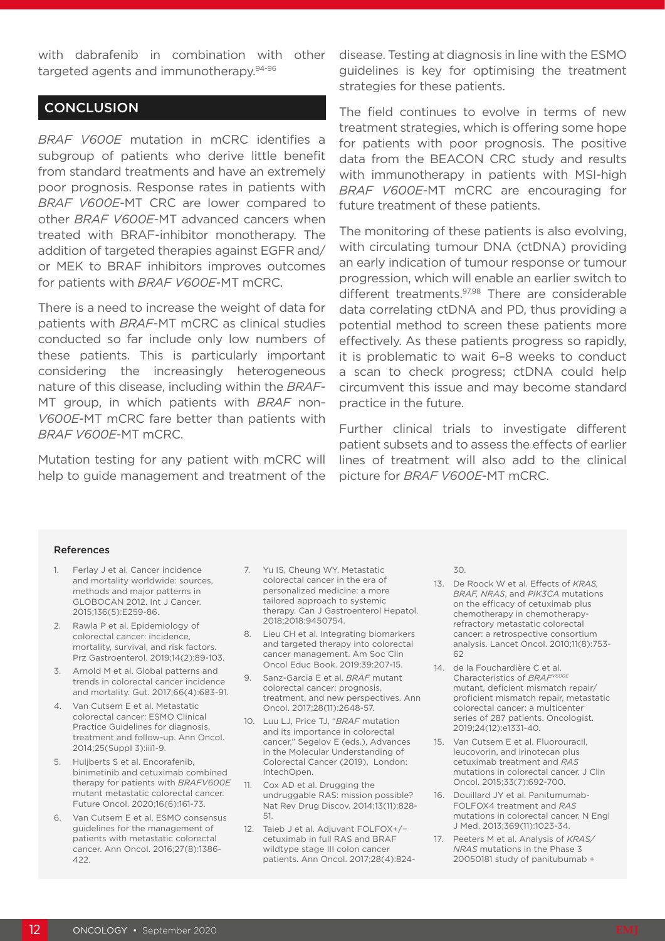with dabrafenib in combination with other targeted agents and immunotherapy.94-96

#### **CONCLUSION**

*BRAF V600E* mutation in mCRC identifies a subgroup of patients who derive little benefit from standard treatments and have an extremely poor prognosis. Response rates in patients with *BRAF V600E*-MT CRC are lower compared to other *BRAF V600E*-MT advanced cancers when treated with BRAF-inhibitor monotherapy. The addition of targeted therapies against EGFR and/ or MEK to BRAF inhibitors improves outcomes for patients with *BRAF V600E*-MT mCRC.

There is a need to increase the weight of data for patients with *BRAF*-MT mCRC as clinical studies conducted so far include only low numbers of these patients. This is particularly important considering the increasingly heterogeneous nature of this disease, including within the *BRAF*-MT group, in which patients with *BRAF* non-*V600E*-MT mCRC fare better than patients with *BRAF V600E*-MT mCRC.

Mutation testing for any patient with mCRC will help to guide management and treatment of the

disease. Testing at diagnosis in line with the ESMO guidelines is key for optimising the treatment strategies for these patients.

The field continues to evolve in terms of new treatment strategies, which is offering some hope for patients with poor prognosis. The positive data from the BEACON CRC study and results with immunotherapy in patients with MSI-high *BRAF V600E*-MT mCRC are encouraging for future treatment of these patients.

The monitoring of these patients is also evolving, with circulating tumour DNA (ctDNA) providing an early indication of tumour response or tumour progression, which will enable an earlier switch to different treatments.<sup>97,98</sup> There are considerable data correlating ctDNA and PD, thus providing a potential method to screen these patients more effectively. As these patients progress so rapidly, it is problematic to wait 6–8 weeks to conduct a scan to check progress; ctDNA could help circumvent this issue and may become standard practice in the future.

Further clinical trials to investigate different patient subsets and to assess the effects of earlier lines of treatment will also add to the clinical picture for *BRAF V600E*-MT mCRC.

#### References

- Ferlay J et al. Cancer incidence and mortality worldwide: sources, methods and major patterns in GLOBOCAN 2012. Int J Cancer. 2015;136(5):E259-86.
- 2. Rawla P et al. Epidemiology of colorectal cancer: incidence, mortality, survival, and risk factors. Prz Gastroenterol. 2019;14(2):89-103.
- 3. Arnold M et al. Global patterns and trends in colorectal cancer incidence and mortality. Gut. 2017;66(4):683-91.
- 4. Van Cutsem E et al. Metastatic colorectal cancer: ESMO Clinical Practice Guidelines for diagnosis, treatment and follow-up. Ann Oncol. 2014;25(Suppl 3):iii1-9.
- 5. Huijberts S et al. Encorafenib, binimetinib and cetuximab combined therapy for patients with *BRAFV600E* mutant metastatic colorectal cancer. Future Oncol. 2020;16(6):161-73.
- 6. Van Cutsem E et al. ESMO consensus guidelines for the management of patients with metastatic colorectal cancer. Ann Oncol. 2016;27(8):1386- 422.
- 7. Yu IS, Cheung WY. Metastatic colorectal cancer in the era of personalized medicine: a more tailored approach to systemic therapy. Can J Gastroenterol Hepatol. 2018;2018:9450754.
- 8. Lieu CH et al. Integrating biomarkers and targeted therapy into colorectal cancer management. Am Soc Clin Oncol Educ Book. 2019;39:207-15.
- 9. Sanz-Garcia E et al. *BRAF* mutant colorectal cancer: prognosis, treatment, and new perspectives. Ann Oncol. 2017;28(11):2648-57.
- 10. Luu LJ, Price TJ, "*BRAF* mutation and its importance in colorectal cancer," Segelov E (eds.), Advances in the Molecular Understanding of Colorectal Cancer (2019), London: IntechOpen.
- 11. Cox AD et al. Drugging the undruggable RAS: mission possible? Nat Rev Drug Discov. 2014;13(11):828- 51.
- 12. Taieb J et al. Adjuvant FOLFOX+/− cetuximab in full RAS and BRAF wildtype stage III colon cancer patients. Ann Oncol. 2017;28(4):824-

30.

- 13. De Roock W et al. Effects of *KRAS, BRAF, NRAS*, and *PIK3CA* mutations on the efficacy of cetuximab plus chemotherapy in chemotherapyrefractory metastatic colorectal cancer: a retrospective consortium analysis. Lancet Oncol. 2010;11(8):753- 62
- 14. de la Fouchardière C et al. Characteristics of *BRAFV600E* mutant, deficient mismatch repair/ proficient mismatch repair, metastatic colorectal cancer: a multicenter series of 287 patients. Oncologist. 2019;24(12):e1331-40.
- 15. Van Cutsem E et al. Fluorouracil, leucovorin, and irinotecan plus cetuximab treatment and *RAS* mutations in colorectal cancer. J Clin Oncol. 2015;33(7):692-700.
- 16. Douillard JY et al. Panitumumab-FOLFOX4 treatment and *RAS*  mutations in colorectal cancer. N Engl J Med. 2013;369(11):1023-34.
- 17. Peeters M et al. Analysis of *KRAS/ NRAS* mutations in the Phase 3 20050181 study of panitubumab +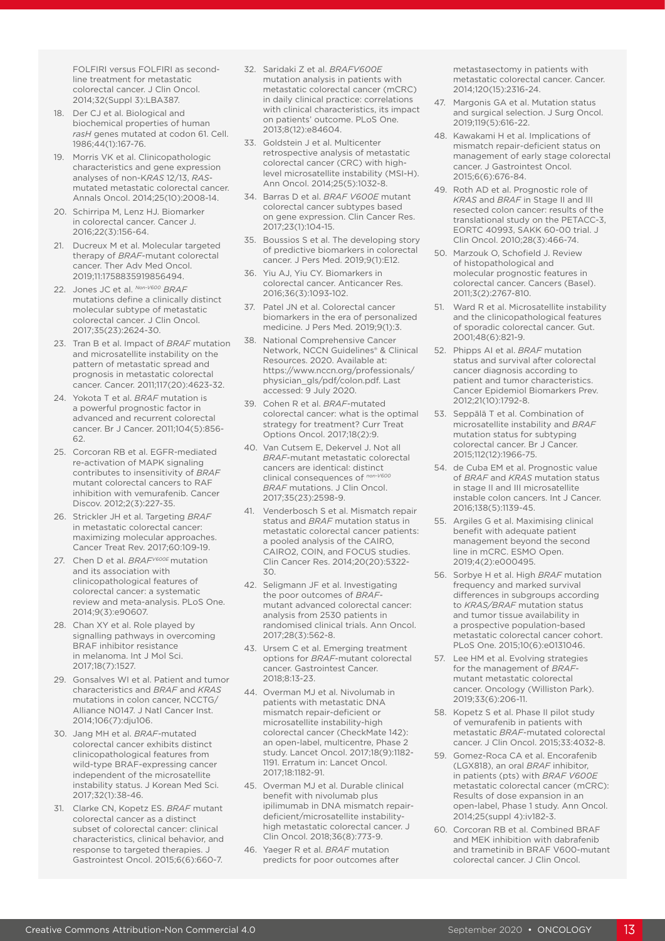FOLFIRI versus FOLFIRI as secondline treatment for metastatic colorectal cancer. J Clin Oncol. 2014;32(Suppl 3):LBA387.

- 18. Der CJ et al. Biological and biochemical properties of human *rasH* genes mutated at codon 61. Cell. 1986;44(1):167-76.
- 19. Morris VK et al. Clinicopathologic characteristics and gene expression analyses of non-K*RAS* 12/13, *RAS*mutated metastatic colorectal cancer. Annals Oncol. 2014;25(10):2008-14.
- 20. Schirripa M, Lenz HJ. Biomarker in colorectal cancer. Cancer J. 2016;22(3):156-64.
- 21. Ducreux M et al. Molecular targeted therapy of *BRAF*-mutant colorectal cancer. Ther Adv Med Oncol. 2019;11:1758835919856494.
- 22. Jones JC et al. *Non-V600 BRAF* mutations define a clinically distinct molecular subtype of metastatic colorectal cancer. J Clin Oncol. 2017;35(23):2624-30.
- 23. Tran B et al. Impact of *BRAF* mutation and microsatellite instability on the pattern of metastatic spread and prognosis in metastatic colorectal cancer. Cancer. 2011;117(20):4623-32.
- 24. Yokota T et al. *BRAF* mutation is a powerful prognostic factor in advanced and recurrent colorectal cancer. Br J Cancer. 2011;104(5):856- 62.
- 25. Corcoran RB et al. EGFR-mediated re-activation of MAPK signaling contributes to insensitivity of *BRAF* mutant colorectal cancers to RAF inhibition with vemurafenib. Cancer Discov. 2012;2(3):227-35.
- 26. Strickler JH et al. Targeting *BRAF* in metastatic colorectal cancer: maximizing molecular approaches. Cancer Treat Rev. 2017;60:109-19.
- 27. Chen D et al. *BRAFV600E* mutation and its association with clinicopathological features of colorectal cancer: a systematic review and meta-analysis. PLoS One. 2014;9(3):e90607.
- 28. Chan XY et al. Role played by signalling pathways in overcoming BRAF inhibitor resistance in melanoma. Int J Mol Sci. 2017;18(7):1527.
- 29. Gonsalves WI et al. Patient and tumor characteristics and *BRAF* and *KRAS* mutations in colon cancer, NCCTG/ Alliance N0147. J Natl Cancer Inst. 2014;106(7):dju106.
- 30. Jang MH et al. *BRAF*-mutated colorectal cancer exhibits distinct clinicopathological features from wild-type BRAF-expressing cancer independent of the microsatellite instability status. J Korean Med Sci. 2017;32(1):38-46.
- 31. Clarke CN, Kopetz ES. *BRAF* mutant colorectal cancer as a distinct subset of colorectal cancer: clinical characteristics, clinical behavior, and response to targeted therapies. J Gastrointest Oncol. 2015;6(6):660-7.
- 32. Saridaki Z et al. *BRAFV600E*  mutation analysis in patients with metastatic colorectal cancer (mCRC) in daily clinical practice: correlations with clinical characteristics, its impact on patients' outcome. PLoS One. 2013;8(12):e84604.
- 33. Goldstein J et al. Multicenter retrospective analysis of metastatic colorectal cancer (CRC) with highlevel microsatellite instability (MSI-H). Ann Oncol. 2014;25(5):1032-8.
- 34. Barras D et al. *BRAF V600E* mutant colorectal cancer subtypes based on gene expression. Clin Cancer Res. 2017;23(1):104-15.
- 35. Boussios S et al. The developing story of predictive biomarkers in colorectal cancer. J Pers Med. 2019;9(1):E12.
- 36. Yiu AJ, Yiu CY. Biomarkers in colorectal cancer. Anticancer Res. 2016;36(3):1093-102.
- 37. Patel JN et al. Colorectal cancer biomarkers in the era of personalized medicine. J Pers Med. 2019;9(1):3.
- 38. National Comprehensive Cancer Network, NCCN Guidelines® & Clinical Resources. 2020. Available at: https://www.nccn.org/professionals/ physician\_gls/pdf/colon.pdf. Last accessed: 9 July 2020.
- 39. Cohen R et al. *BRAF*-mutated colorectal cancer: what is the optimal strategy for treatment? Curr Treat Options Oncol. 2017;18(2):9.
- 40. Van Cutsem E, Dekervel J. Not all *BRAF*-mutant metastatic colorectal cancers are identical: distinct clinical consequences of *BRAF* mutations. J Clin Oncol. 2017;35(23):2598-9.
- 41. Venderbosch S et al. Mismatch repair status and *BRAF* mutation status in metastatic colorectal cancer patients: a pooled analysis of the CAIRO, CAIRO2, COIN, and FOCUS studies. Clin Cancer Res. 2014;20(20):5322- 30.
- 42. Seligmann JF et al. Investigating the poor outcomes of *BRAF*mutant advanced colorectal cancer: analysis from 2530 patients in randomised clinical trials. Ann Oncol. 2017;28(3):562-8.
- 43. Ursem C et al. Emerging treatment options for *BRAF*-mutant colorectal cancer. Gastrointest Cancer. 2018;8:13-23.
- 44. Overman MJ et al. Nivolumab in patients with metastatic DNA mismatch repair-deficient or microsatellite instability-high colorectal cancer (CheckMate 142): an open-label, multicentre, Phase 2 study. Lancet Oncol. 2017;18(9):1182- 1191. Erratum in: Lancet Oncol. 2017;18:1182-91.
- 45. Overman MJ et al. Durable clinical benefit with nivolumab plus ipilimumab in DNA mismatch repairdeficient/microsatellite instabilityhigh metastatic colorectal cancer. J Clin Oncol. 2018;36(8):773-9.
- 46. Yaeger R et al. *BRAF* mutation predicts for poor outcomes after

metastasectomy in patients with metastatic colorectal cancer. Cancer. 2014;120(15):2316-24.

- 47. Margonis GA et al. Mutation status and surgical selection. J Surg Oncol. 2019;119(5):616-22.
- 48. Kawakami H et al. Implications of mismatch repair-deficient status on management of early stage colorectal cancer. J Gastrointest Oncol. 2015;6(6):676-84.
- 49. Roth AD et al. Prognostic role of *KRAS* and *BRAF* in Stage II and III resected colon cancer: results of the translational study on the PETACC-3, EORTC 40993, SAKK 60-00 trial. J Clin Oncol. 2010;28(3):466-74.
- 50. Marzouk O, Schofield J. Review of histopathological and molecular prognostic features in colorectal cancer. Cancers (Basel). 2011;3(2):2767-810.
- 51. Ward R et al. Microsatellite instability and the clinicopathological features of sporadic colorectal cancer. Gut. 2001;48(6):821-9.
- 52. Phipps AI et al. *BRAF* mutation status and survival after colorectal cancer diagnosis according to patient and tumor characteristics. Cancer Epidemiol Biomarkers Prev. 2012;21(10):1792-8.
- 53. Seppälä T et al. Combination of microsatellite instability and *BRAF*  mutation status for subtyping colorectal cancer. Br J Cancer. 2015;112(12):1966-75.
- 54. de Cuba EM et al. Prognostic value of *BRAF* and *KRAS* mutation status in stage II and III microsatellite instable colon cancers. Int J Cancer. 2016;138(5):1139-45.
- 55. Argiles G et al. Maximising clinical benefit with adequate patient management beyond the second line in mCRC. ESMO Open. 2019;4(2):e000495.
- 56. Sorbye H et al. High *BRAF* mutation frequency and marked survival differences in subgroups according to *KRAS/BRAF* mutation status and tumor tissue availability in a prospective population-based metastatic colorectal cancer cohort. PLoS One. 2015;10(6):e0131046.
- 57. Lee HM et al. Evolving strategies for the management of *BRAF*mutant metastatic colorectal cancer. Oncology (Williston Park). 2019;33(6):206-11.
- 58. Kopetz S et al. Phase II pilot study of vemurafenib in patients with metastatic *BRAF*-mutated colorectal cancer. J Clin Oncol. 2015;33:4032-8.
- 59. Gomez-Roca CA et al. Encorafenib (LGX818), an oral *BRAF* inhibitor, in patients (pts) with *BRAF V600E* metastatic colorectal cancer (mCRC): Results of dose expansion in an open-label, Phase 1 study. Ann Oncol. 2014;25(suppl 4):iv182-3.
- 60. Corcoran RB et al. Combined BRAF and MEK inhibition with dabrafenib and trametinib in BRAF V600-mutant colorectal cancer. J Clin Oncol.